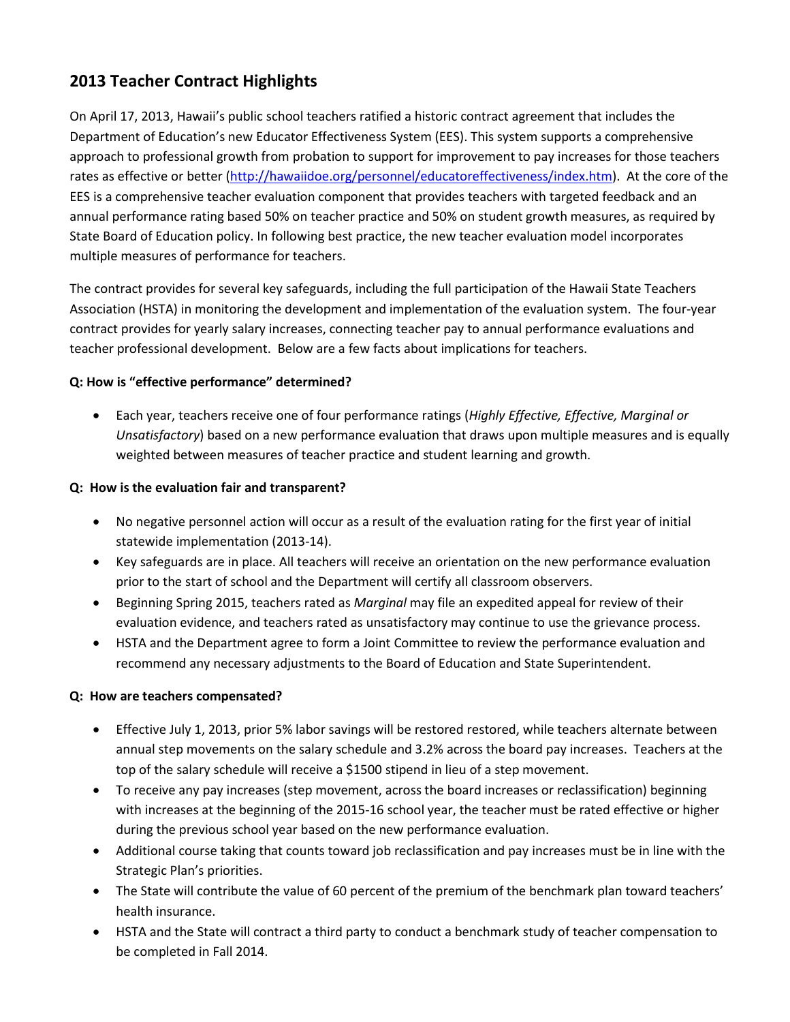# **2013 Teacher Contract Highlights**

On April 17, 2013, Hawaii's public school teachers ratified a historic contract agreement that includes the Department of Education's new Educator Effectiveness System (EES). This system supports a comprehensive approach to professional growth from probation to support for improvement to pay increases for those teachers rates as effective or better [\(http://hawaiidoe.org/personnel/educatoreffectiveness/index.htm\)](http://hawaiidoe.org/personnel/educatoreffectiveness/index.htm). At the core of the EES is a comprehensive teacher evaluation component that provides teachers with targeted feedback and an annual performance rating based 50% on teacher practice and 50% on student growth measures, as required by State Board of Education policy. In following best practice, the new teacher evaluation model incorporates multiple measures of performance for teachers.

The contract provides for several key safeguards, including the full participation of the Hawaii State Teachers Association (HSTA) in monitoring the development and implementation of the evaluation system. The four-year contract provides for yearly salary increases, connecting teacher pay to annual performance evaluations and teacher professional development. Below are a few facts about implications for teachers.

## **Q: How is "effective performance" determined?**

• Each year, teachers receive one of four performance ratings (*Highly Effective, Effective, Marginal or Unsatisfactory*) based on a new performance evaluation that draws upon multiple measures and is equally weighted between measures of teacher practice and student learning and growth.

### **Q: How is the evaluation fair and transparent?**

- No negative personnel action will occur as a result of the evaluation rating for the first year of initial statewide implementation (2013-14).
- Key safeguards are in place. All teachers will receive an orientation on the new performance evaluation prior to the start of school and the Department will certify all classroom observers.
- Beginning Spring 2015, teachers rated as *Marginal* may file an expedited appeal for review of their evaluation evidence, and teachers rated as unsatisfactory may continue to use the grievance process.
- HSTA and the Department agree to form a Joint Committee to review the performance evaluation and recommend any necessary adjustments to the Board of Education and State Superintendent.

## **Q: How are teachers compensated?**

- Effective July 1, 2013, prior 5% labor savings will be restored restored, while teachers alternate between annual step movements on the salary schedule and 3.2% across the board pay increases. Teachers at the top of the salary schedule will receive a \$1500 stipend in lieu of a step movement.
- To receive any pay increases (step movement, across the board increases or reclassification) beginning with increases at the beginning of the 2015-16 school year, the teacher must be rated effective or higher during the previous school year based on the new performance evaluation.
- Additional course taking that counts toward job reclassification and pay increases must be in line with the Strategic Plan's priorities.
- The State will contribute the value of 60 percent of the premium of the benchmark plan toward teachers' health insurance.
- HSTA and the State will contract a third party to conduct a benchmark study of teacher compensation to be completed in Fall 2014.